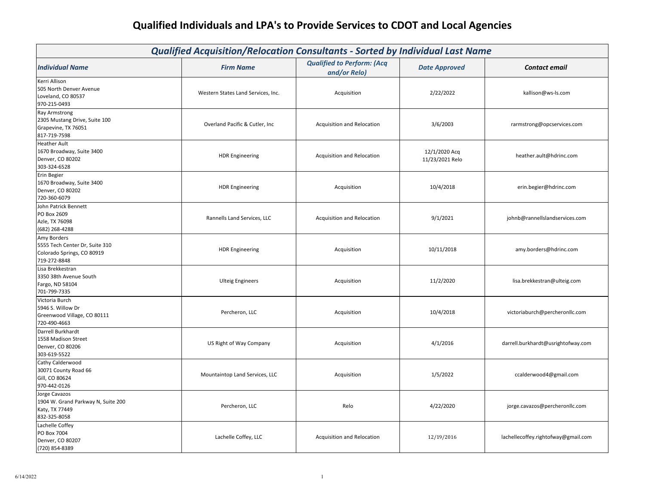| <b>Qualified Acquisition/Relocation Consultants - Sorted by Individual Last Name</b>         |                                    |                                                   |                                  |                                     |
|----------------------------------------------------------------------------------------------|------------------------------------|---------------------------------------------------|----------------------------------|-------------------------------------|
| <b>Individual Name</b>                                                                       | <b>Firm Name</b>                   | <b>Qualified to Perform: (Acq</b><br>and/or Relo) | <b>Date Approved</b>             | <b>Contact email</b>                |
| Kerri Allison<br>505 North Denver Avenue<br>Loveland, CO 80537<br>970-215-0493               | Western States Land Services, Inc. | Acquisition                                       | 2/22/2022                        | kallison@ws-ls.com                  |
| <b>Ray Armstrong</b><br>2305 Mustang Drive, Suite 100<br>Grapevine, TX 76051<br>817-719-7598 | Overland Pacific & Cutler, Inc.    | Acquisition and Relocation                        | 3/6/2003                         | rarmstrong@opcservices.com          |
| <b>Heather Ault</b><br>1670 Broadway, Suite 3400<br>Denver, CO 80202<br>303-324-6528         | <b>HDR Engineering</b>             | Acquisition and Relocation                        | 12/1/2020 Acq<br>11/23/2021 Relo | heather.ault@hdrinc.com             |
| <b>Erin Begier</b><br>1670 Broadway, Suite 3400<br>Denver, CO 80202<br>720-360-6079          | <b>HDR Engineering</b>             | Acquisition                                       | 10/4/2018                        | erin.begier@hdrinc.com              |
| John Patrick Bennett<br>PO Box 2609<br>Azle, TX 76098<br>(682) 268-4288                      | Rannells Land Services, LLC        | Acquisition and Relocation                        | 9/1/2021                         | johnb@rannellslandservices.com      |
| Amy Borders<br>5555 Tech Center Dr, Suite 310<br>Colorado Springs, CO 80919<br>719-272-8848  | <b>HDR Engineering</b>             | Acquisition                                       | 10/11/2018                       | amy.borders@hdrinc.com              |
| Lisa Brekkestran<br>3350 38th Avenue South<br>Fargo, ND 58104<br>701-799-7335                | <b>Ulteig Engineers</b>            | Acquisition                                       | 11/2/2020                        | lisa.brekkestran@ulteig.com         |
| Victoria Burch<br>5946 S. Willow Dr<br>Greenwood Village, CO 80111<br>720-490-4663           | Percheron, LLC                     | Acquisition                                       | 10/4/2018                        | victoriaburch@percheronllc.com      |
| Darrell Burkhardt<br>1558 Madison Street<br>Denver, CO 80206<br>303-619-5522                 | US Right of Way Company            | Acquisition                                       | 4/1/2016                         | darrell.burkhardt@usrightofway.com  |
| Cathy Calderwood<br>30071 County Road 66<br>Gill, CO 80624<br>970-442-0126                   | Mountaintop Land Services, LLC     | Acquisition                                       | 1/5/2022                         | ccalderwood4@gmail.com              |
| Jorge Cavazos<br>1904 W. Grand Parkway N, Suite 200<br>Katy, TX 77449<br>832-325-8058        | Percheron, LLC                     | Relo                                              | 4/22/2020                        | jorge.cavazos@percheronllc.com      |
| Lachelle Coffey<br>PO Box 7004<br>Denver, CO 80207<br>(720) 854-8389                         | Lachelle Coffey, LLC               | Acquisition and Relocation                        | 12/19/2016                       | lachellecoffey.rightofway@gmail.com |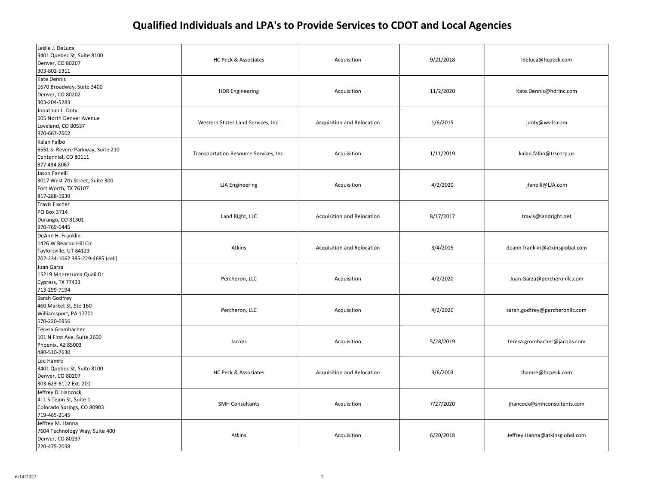| Leslie J. DeLuca<br>3401 Quebec St, Suite 8100<br>Denver, CO 80207<br>303-802-5311                        | HC Peck & Associates                   | Acquisition                | 9/21/2018 | ldeluca@hcpeck.com              |
|-----------------------------------------------------------------------------------------------------------|----------------------------------------|----------------------------|-----------|---------------------------------|
| <b>Kate Dennis</b><br>1670 Broadway, Suite 3400<br>Denver, CO 80202<br>303-204-5283                       | <b>HDR Engineering</b>                 | Acquisition                | 11/2/2020 | Kate.Dennis@hdrinc.com          |
| Jonathan L. Doty<br>505 North Denver Avenue<br>Loveland, CO 80537<br>970-667-7602                         | Western States Land Services, Inc.     | Acquisition and Relocation | 1/6/2015  | jdoty@ws-ls.com                 |
| Kalan Falbo<br>6551 S. Revere Parkway, Suite 210<br>Centennial, CO 80111<br>877.494.8067                  | Transportation Resource Services, Inc. | Acquisition                | 1/11/2019 | kalan.falbo@trscorp.us          |
| Jason Fanelli<br>3017 West 7th Street, Suite 300<br>Fort Worth, TX 76107<br>817-288-1939                  | <b>LJA</b> Engineering                 | Acquisition                | 4/2/2020  | jfanelli@LJA.com                |
| <b>Travis Fischer</b><br>PO Box 3714<br>Durango, CO 81301<br>970-769-6445                                 | Land Right, LLC                        | Acquisition and Relocation | 8/17/2017 | travis@landright.net            |
| DeAnn H. Franklin<br>1426 W Beacon Hill Cir<br>Taylorsville, UT 84123<br>702-234-1062 385-229-4685 (cell) | Atkins                                 | Acquisition and Relocation | 3/4/2015  | deann.franklin@atkinsglobal.com |
| Juan Garza<br>15219 Montezuma Quail Dr<br>Cypress, TX 77433<br>713-299-7194                               | Percheron, LLC                         | Acquisition                | 4/2/2020  | Juan.Garza@percheronllc.com     |
| Sarah Godfrey<br>460 Market St, Ste 160<br>Williamsport, PA 17701<br>570-220-6956                         | Percheron, LLC                         | Acquisition                | 4/2/2020  | sarah.godfrey@percheronllc.com  |
| Teresa Grombacher<br>101 N First Ave, Suite 2600<br>Phoenix, AZ 85003<br>480-510-7630                     | Jacobs                                 | Acquisition                | 5/28/2019 | teresa.grombacher@jacobs.com    |
| Lee Hamre<br>3401 Quebec St, Suite 8100<br>Denver, CO 80207<br>303-623-6112 Ext. 201                      | HC Peck & Associates                   | Acquisition and Relocation | 3/6/2003  | lhamre@hcpeck.com               |
| Jeffrey D. Hancock<br>411 S Tejon St, Suite 1<br>Colorado Springs, CO 80903<br>719-465-2145               | <b>SMH Consultants</b>                 | Acquisition                | 7/27/2020 | jhancock@smhconsultants.com     |
| Jeffrey M. Hanna<br>7604 Technology Way, Suite 400<br>Denver, CO 80237<br>720-475-7058                    | Atkins                                 | Acquisition                | 6/20/2018 | Jeffrey.Hanna@atkinsglobal.com  |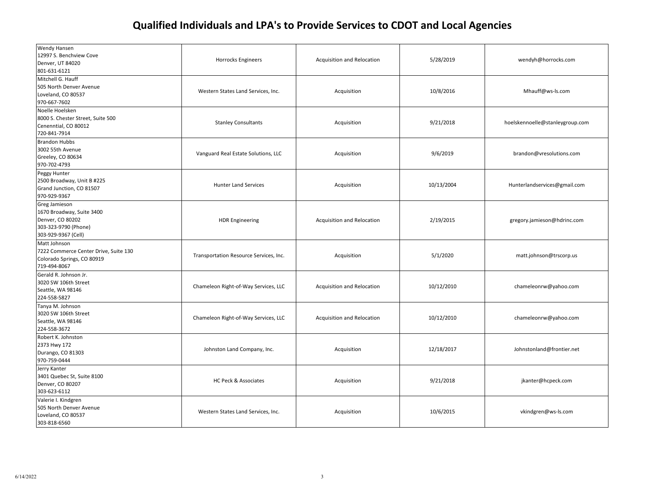| Wendy Hansen<br>12997 S. Benchview Cove<br>Denver, UT 84020<br>801-631-6121                                   | Horrocks Engineers                     | Acquisition and Relocation | 5/28/2019  | wendyh@horrocks.com             |
|---------------------------------------------------------------------------------------------------------------|----------------------------------------|----------------------------|------------|---------------------------------|
| Mitchell G. Hauff<br>505 North Denver Avenue<br>Loveland, CO 80537<br>970-667-7602                            | Western States Land Services, Inc.     | Acquisition                | 10/8/2016  | Mhauff@ws-ls.com                |
| Noelle Hoelsken<br>8000 S. Chester Street, Suite 500<br>Cenenntial, CO 80012<br>720-841-7914                  | <b>Stanley Consultants</b>             | Acquisition                | 9/21/2018  | hoelskennoelle@stanleygroup.com |
| <b>Brandon Hubbs</b><br>3002 55th Avenue<br>Greeley, CO 80634<br>970-702-4793                                 | Vanguard Real Estate Solutions, LLC    | Acquisition                | 9/6/2019   | brandon@vresolutions.com        |
| Peggy Hunter<br>2500 Broadway, Unit B #225<br>Grand Junction, CO 81507<br>970-929-9367                        | <b>Hunter Land Services</b>            | Acquisition                | 10/13/2004 | Hunterlandservices@gmail.com    |
| Greg Jamieson<br>1670 Broadway, Suite 3400<br>Denver, CO 80202<br>303-323-9790 (Phone)<br>303-929-9367 (Cell) | <b>HDR Engineering</b>                 | Acquisition and Relocation | 2/19/2015  | gregory.jamieson@hdrinc.com     |
| Matt Johnson<br>7222 Commerce Center Drive, Suite 130<br>Colorado Springs, CO 80919<br>719-494-8067           | Transportation Resource Services, Inc. | Acquisition                | 5/1/2020   | matt.johnson@trscorp.us         |
| Gerald R. Johnson Jr.<br>3020 SW 106th Street<br>Seattle, WA 98146<br>224-558-5827                            | Chameleon Right-of-Way Services, LLC   | Acquisition and Relocation | 10/12/2010 | chameleonrw@yahoo.com           |
| Tanya M. Johnson<br>3020 SW 106th Street<br>Seattle, WA 98146<br>224-558-3672                                 | Chameleon Right-of-Way Services, LLC   | Acquisition and Relocation | 10/12/2010 | chameleonrw@yahoo.com           |
| Robert K. Johnston<br>2373 Hwy 172<br>Durango, CO 81303<br>970-759-0444                                       | Johnston Land Company, Inc.            | Acquisition                | 12/18/2017 | Johnstonland@frontier.net       |
| Jerry Kanter<br>3401 Quebec St, Suite 8100<br>Denver, CO 80207<br>303-623-6112                                | <b>HC Peck &amp; Associates</b>        | Acquisition                | 9/21/2018  | jkanter@hcpeck.com              |
| Valerie I. Kindgren<br>505 North Denver Avenue<br>Loveland, CO 80537<br>303-818-6560                          | Western States Land Services, Inc.     | Acquisition                | 10/6/2015  | vkindgren@ws-ls.com             |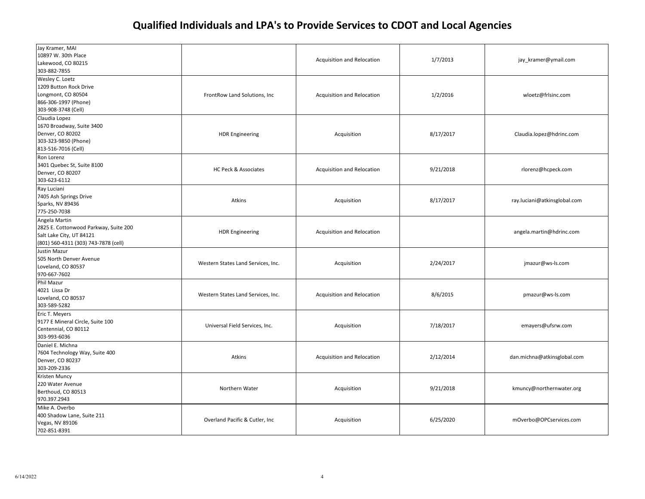| Jay Kramer, MAI<br>10897 W. 30th Place<br>Lakewood, CO 80215<br>303-882-7855                                               |                                    | Acquisition and Relocation | 1/7/2013  | jay_kramer@ymail.com         |
|----------------------------------------------------------------------------------------------------------------------------|------------------------------------|----------------------------|-----------|------------------------------|
| Wesley C. Loetz<br>1209 Button Rock Drive<br>Longmont, CO 80504<br>866-306-1997 (Phone)<br>303-908-3748 (Cell)             | FrontRow Land Solutions, Inc.      | Acquisition and Relocation | 1/2/2016  | wloetz@frlsinc.com           |
| Claudia Lopez<br>1670 Broadway, Suite 3400<br>Denver, CO 80202<br>303-323-9850 (Phone)<br>813-516-7016 (Cell)              | <b>HDR Engineering</b>             | Acquisition                | 8/17/2017 | Claudia.lopez@hdrinc.com     |
| Ron Lorenz<br>3401 Quebec St, Suite 8100<br>Denver, CO 80207<br>303-623-6112                                               | HC Peck & Associates               | Acquisition and Relocation | 9/21/2018 | rlorenz@hcpeck.com           |
| Ray Luciani<br>7405 Ash Springs Drive<br>Sparks, NV 89436<br>775-250-7038                                                  | Atkins                             | Acquisition                | 8/17/2017 | ray.luciani@atkinsglobal.com |
| Angela Martin<br>2825 E. Cottonwood Parkway, Suite 200<br>Salt Lake City, UT 84121<br>(801) 560-4311 (303) 743-7878 (cell) | <b>HDR Engineering</b>             | Acquisition and Relocation |           | angela.martin@hdrinc.com     |
| Justin Mazur<br>505 North Denver Avenue<br>Loveland, CO 80537<br>970-667-7602                                              | Western States Land Services, Inc. | Acquisition                | 2/24/2017 | jmazur@ws-ls.com             |
| Phil Mazur<br>4021 Lissa Dr<br>Loveland, CO 80537<br>303-589-5282                                                          | Western States Land Services, Inc. | Acquisition and Relocation | 8/6/2015  | pmazur@ws-ls.com             |
| Eric T. Meyers<br>9177 E Mineral Circle, Suite 100<br>Centennial, CO 80112<br>303-993-6036                                 | Universal Field Services, Inc.     | Acquisition                | 7/18/2017 | emayers@ufsrw.com            |
| Daniel E. Michna<br>7604 Technology Way, Suite 400<br>Denver, CO 80237<br>303-209-2336                                     | Atkins                             | Acquisition and Relocation | 2/12/2014 | dan.michna@atkinsglobal.com  |
| Kristen Muncy<br>220 Water Avenue<br>Berthoud, CO 80513<br>970.397.2943                                                    | Northern Water                     | Acquisition                | 9/21/2018 | kmuncy@northernwater.org     |
| Mike A. Overbo<br>400 Shadow Lane, Suite 211<br>Vegas, NV 89106<br>702-851-8391                                            | Overland Pacific & Cutler, Inc     | Acquisition                | 6/25/2020 | mOverbo@OPCservices.com      |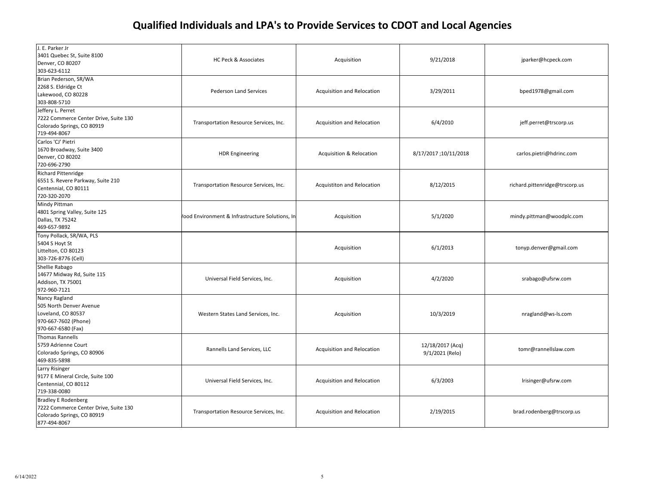| J. E. Parker Jr<br>3401 Quebec St, Suite 8100<br>Denver, CO 80207<br>303-623-6112                                 | HC Peck & Associates                           | Acquisition                         | 9/21/2018                           | jparker@hcpeck.com             |
|-------------------------------------------------------------------------------------------------------------------|------------------------------------------------|-------------------------------------|-------------------------------------|--------------------------------|
| Brian Pederson, SR/WA<br>2268 S. Eldridge Ct<br>Lakewood, CO 80228<br>303-808-5710                                | <b>Pederson Land Services</b>                  | Acquisition and Relocation          | 3/29/2011                           | bped1978@gmail.com             |
| Jeffery L. Perret<br>7222 Commerce Center Drive, Suite 130<br>Colorado Springs, CO 80919<br>719-494-8067          | Transportation Resource Services, Inc.         | Acquisition and Relocation          | 6/4/2010                            | jeff.perret@trscorp.us         |
| Carlos 'CJ' Pietri<br>1670 Broadway, Suite 3400<br>Denver, CO 80202<br>720-696-2790                               | <b>HDR Engineering</b>                         | <b>Acquisition &amp; Relocation</b> | 8/17/2017;10/11/2018                | carlos.pietri@hdrinc.com       |
| <b>Richard Pittenridge</b><br>6551 S. Revere Parkway, Suite 210<br>Centennial, CO 80111<br>720-320-2070           | Transportation Resource Services, Inc.         | Acquistiton and Relocation          | 8/12/2015                           | richard.pittenridge@trscorp.us |
| Mindy Pittman<br>4801 Spring Valley, Suite 125<br>Dallas, TX 75242<br>469-657-9892                                | ood Environment & Infrastructure Solutions, In | Acquisition                         | 5/1/2020                            | mindy.pittman@woodplc.com      |
| Tony Pollack, SR/WA, PLS<br>5404 S Hoyt St<br>Littelton, CO 80123<br>303-726-8776 (Cell)                          |                                                | Acquisition                         | 6/1/2013                            | tonyp.denver@gmail.com         |
| Shellie Rabago<br>14677 Midway Rd, Suite 115<br>Addison, TX 75001<br>972-960-7121                                 | Universal Field Services, Inc.                 | Acquisition                         | 4/2/2020                            | srabago@ufsrw.com              |
| Nancy Ragland<br>505 North Denver Avenue<br>Loveland, CO 80537<br>970-667-7602 (Phone)<br>970-667-6580 (Fax)      | Western States Land Services, Inc.             | Acquisition                         | 10/3/2019                           | nragland@ws-ls.com             |
| <b>Thomas Rannells</b><br>5759 Adrienne Court<br>Colorado Springs, CO 80906<br>469-835-5898                       | Rannells Land Services, LLC                    | Acquisition and Relocation          | 12/18/2017 (Acq)<br>9/1/2021 (Relo) | tomr@rannellslaw.com           |
| Larry Risinger<br>9177 E Mineral Circle, Suite 100<br>Centennial, CO 80112<br>719-338-0080                        | Universal Field Services, Inc.                 | Acquisition and Relocation          | 6/3/2003                            | Irisinger@ufsrw.com            |
| <b>Bradley E Rodenberg</b><br>7222 Commerce Center Drive, Suite 130<br>Colorado Springs, CO 80919<br>877-494-8067 | Transportation Resource Services, Inc.         | Acquisition and Relocation          | 2/19/2015                           | brad.rodenberg@trscorp.us      |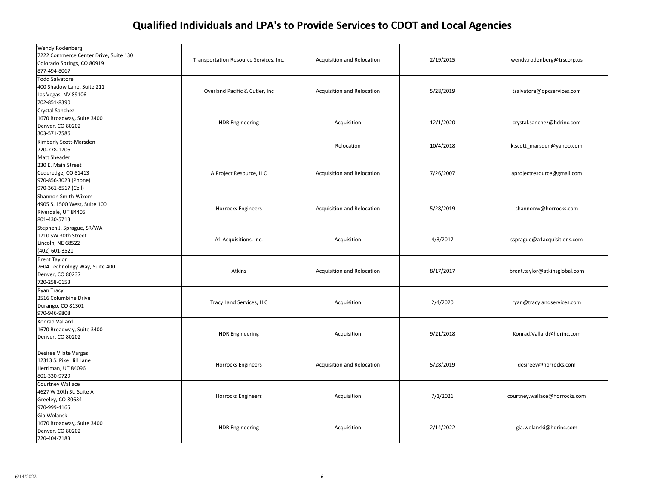| Wendy Rodenberg<br>7222 Commerce Center Drive, Suite 130<br>Colorado Springs, CO 80919<br>877-494-8067   | Transportation Resource Services, Inc. | Acquisition and Relocation | 2/19/2015 | wendy.rodenberg@trscorp.us    |
|----------------------------------------------------------------------------------------------------------|----------------------------------------|----------------------------|-----------|-------------------------------|
| <b>Todd Salvatore</b><br>400 Shadow Lane, Suite 211<br>Las Vegas, NV 89106<br>702-851-8390               | Overland Pacific & Cutler, Inc.        | Acquisition and Relocation | 5/28/2019 | tsalvatore@opcservices.com    |
| Crystal Sanchez<br>1670 Broadway, Suite 3400<br>Denver, CO 80202<br>303-571-7586                         | <b>HDR Engineering</b>                 | Acquisition                | 12/1/2020 | crystal.sanchez@hdrinc.com    |
| Kimberly Scott-Marsden<br>720-278-1706                                                                   |                                        | Relocation                 | 10/4/2018 | k.scott marsden@yahoo.com     |
| Matt Sheader<br>230 E. Main Street<br>Cederedge, CO 81413<br>970-856-3023 (Phone)<br>970-361-8517 (Cell) | A Project Resource, LLC                | Acquisition and Relocation | 7/26/2007 | aprojectresource@gmail.com    |
| Shannon Smith-Wixom<br>4905 S. 1500 West, Suite 100<br>Riverdale, UT 84405<br>801-430-5713               | Horrocks Engineers                     | Acquisition and Relocation | 5/28/2019 | shannonw@horrocks.com         |
| Stephen J. Sprague, SR/WA<br>1710 SW 30th Street<br>Lincoln, NE 68522<br>(402) 601-3521                  | A1 Acquisitions, Inc.                  | Acquisition                | 4/3/2017  | ssprague@a1acquisitions.com   |
| <b>Brent Taylor</b><br>7604 Technology Way, Suite 400<br>Denver, CO 80237<br>720-258-0153                | Atkins                                 | Acquisition and Relocation | 8/17/2017 | brent.taylor@atkinsglobal.com |
| Ryan Tracy<br>2516 Columbine Drive<br>Durango, CO 81301<br>970-946-9808                                  | Tracy Land Services, LLC               | Acquisition                | 2/4/2020  | ryan@tracylandservices.com    |
| Konrad Vallard<br>1670 Broadway, Suite 3400<br>Denver, CO 80202                                          | <b>HDR Engineering</b>                 | Acquisition                | 9/21/2018 | Konrad.Vallard@hdrinc.com     |
| Desiree Vilate Vargas<br>12313 S. Pike Hill Lane<br>Herriman, UT 84096<br>801-330-9729                   | Horrocks Engineers                     | Acquisition and Relocation | 5/28/2019 | desireev@horrocks.com         |
| Courtney Wallace<br>4627 W 20th St, Suite A<br>Greeley, CO 80634<br>970-999-4165                         | <b>Horrocks Engineers</b>              | Acquisition                | 7/1/2021  | courtney.wallace@horrocks.com |
| Gia Wolanski<br>1670 Broadway, Suite 3400<br>Denver, CO 80202<br>720-404-7183                            | <b>HDR Engineering</b>                 | Acquisition                | 2/14/2022 | gia.wolanski@hdrinc.com       |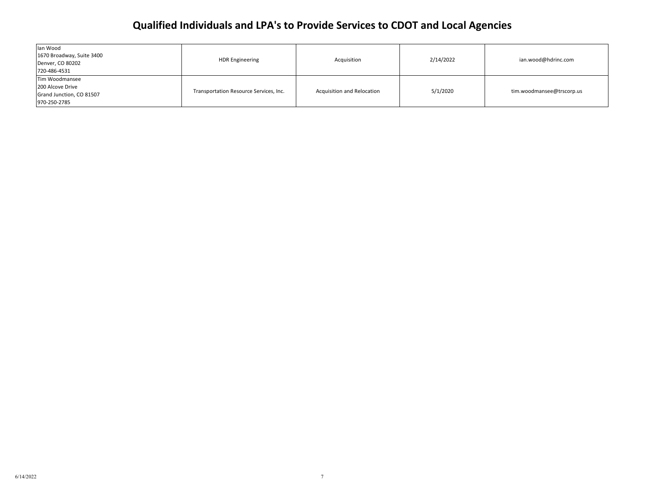| lan Wood<br>1670 Broadway, Suite 3400<br>Denver, CO 80202<br>720-486-4531      | <b>HDR Engineering</b>                 | Acquisition                       | 2/14/2022 | ian.wood@hdrinc.com       |
|--------------------------------------------------------------------------------|----------------------------------------|-----------------------------------|-----------|---------------------------|
| Tim Woodmansee<br>200 Alcove Drive<br>Grand Junction, CO 81507<br>970-250-2785 | Transportation Resource Services, Inc. | <b>Acquisition and Relocation</b> | 5/1/2020  | tim.woodmansee@trscorp.us |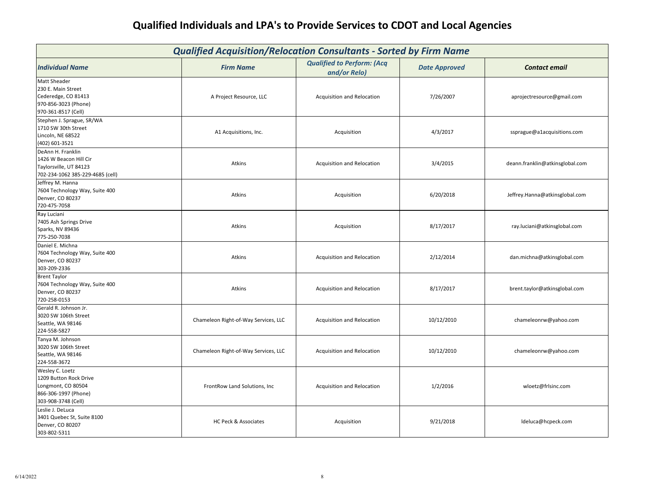| <b>Qualified Acquisition/Relocation Consultants - Sorted by Firm Name</b>                                       |                                      |                                                   |                      |                                 |
|-----------------------------------------------------------------------------------------------------------------|--------------------------------------|---------------------------------------------------|----------------------|---------------------------------|
| <b>Individual Name</b>                                                                                          | <b>Firm Name</b>                     | <b>Qualified to Perform: (Acq</b><br>and/or Relo) | <b>Date Approved</b> | <b>Contact email</b>            |
| <b>Matt Sheader</b><br>230 E. Main Street<br>Cederedge, CO 81413<br>970-856-3023 (Phone)<br>970-361-8517 (Cell) | A Project Resource, LLC              | Acquisition and Relocation                        | 7/26/2007            | aprojectresource@gmail.com      |
| Stephen J. Sprague, SR/WA<br>1710 SW 30th Street<br>Lincoln, NE 68522<br>(402) 601-3521                         | A1 Acquisitions, Inc.                | Acquisition                                       | 4/3/2017             | ssprague@a1acquisitions.com     |
| DeAnn H. Franklin<br>1426 W Beacon Hill Cir<br>Taylorsville, UT 84123<br>702-234-1062 385-229-4685 (cell)       | Atkins                               | Acquisition and Relocation                        | 3/4/2015             | deann.franklin@atkinsglobal.com |
| Jeffrey M. Hanna<br>7604 Technology Way, Suite 400<br>Denver, CO 80237<br>720-475-7058                          | Atkins                               | Acquisition                                       | 6/20/2018            | Jeffrey.Hanna@atkinsglobal.com  |
| Ray Luciani<br>7405 Ash Springs Drive<br>Sparks, NV 89436<br>775-250-7038                                       | Atkins                               | Acquisition                                       | 8/17/2017            | ray.luciani@atkinsglobal.com    |
| Daniel E. Michna<br>7604 Technology Way, Suite 400<br>Denver, CO 80237<br>303-209-2336                          | Atkins                               | Acquisition and Relocation                        | 2/12/2014            | dan.michna@atkinsglobal.com     |
| <b>Brent Taylor</b><br>7604 Technology Way, Suite 400<br>Denver, CO 80237<br>720-258-0153                       | Atkins                               | Acquisition and Relocation                        | 8/17/2017            | brent.taylor@atkinsglobal.com   |
| Gerald R. Johnson Jr.<br>3020 SW 106th Street<br>Seattle, WA 98146<br>224-558-5827                              | Chameleon Right-of-Way Services, LLC | Acquisition and Relocation                        | 10/12/2010           | chameleonrw@yahoo.com           |
| Tanya M. Johnson<br>3020 SW 106th Street<br>Seattle, WA 98146<br>224-558-3672                                   | Chameleon Right-of-Way Services, LLC | Acquisition and Relocation                        | 10/12/2010           | chameleonrw@yahoo.com           |
| Wesley C. Loetz<br>1209 Button Rock Drive<br>Longmont, CO 80504<br>866-306-1997 (Phone)<br>303-908-3748 (Cell)  | FrontRow Land Solutions, Inc         | Acquisition and Relocation                        | 1/2/2016             | wloetz@frlsinc.com              |
| Leslie J. DeLuca<br>3401 Quebec St, Suite 8100<br>Denver, CO 80207<br>303-802-5311                              | <b>HC Peck &amp; Associates</b>      | Acquisition                                       | 9/21/2018            | ldeluca@hcpeck.com              |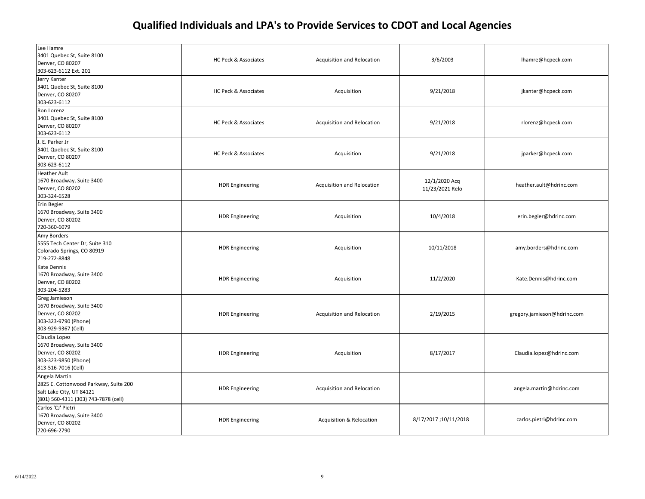| Lee Hamre<br>3401 Quebec St, Suite 8100<br>Denver, CO 80207<br>303-623-6112 Ext. 201                                       | HC Peck & Associates   | Acquisition and Relocation          | 3/6/2003                         | lhamre@hcpeck.com           |
|----------------------------------------------------------------------------------------------------------------------------|------------------------|-------------------------------------|----------------------------------|-----------------------------|
| Jerry Kanter<br>3401 Quebec St, Suite 8100<br>Denver, CO 80207<br>303-623-6112                                             | HC Peck & Associates   | Acquisition                         | 9/21/2018                        | jkanter@hcpeck.com          |
| Ron Lorenz<br>3401 Quebec St, Suite 8100<br>Denver, CO 80207<br>303-623-6112                                               | HC Peck & Associates   | Acquisition and Relocation          | 9/21/2018                        | rlorenz@hcpeck.com          |
| J. E. Parker Jr<br>3401 Quebec St, Suite 8100<br>Denver, CO 80207<br>303-623-6112                                          | HC Peck & Associates   | Acquisition                         | 9/21/2018                        | jparker@hcpeck.com          |
| <b>Heather Ault</b><br>1670 Broadway, Suite 3400<br>Denver, CO 80202<br>303-324-6528                                       | <b>HDR Engineering</b> | Acquisition and Relocation          | 12/1/2020 Acq<br>11/23/2021 Relo | heather.ault@hdrinc.com     |
| Erin Begier<br>1670 Broadway, Suite 3400<br>Denver, CO 80202<br>720-360-6079                                               | <b>HDR Engineering</b> | Acquisition                         | 10/4/2018                        | erin.begier@hdrinc.com      |
| Amy Borders<br>5555 Tech Center Dr, Suite 310<br>Colorado Springs, CO 80919<br>719-272-8848                                | <b>HDR Engineering</b> | Acquisition                         | 10/11/2018                       | amy.borders@hdrinc.com      |
| Kate Dennis<br>1670 Broadway, Suite 3400<br>Denver, CO 80202<br>303-204-5283                                               | <b>HDR Engineering</b> | Acquisition                         | 11/2/2020                        | Kate.Dennis@hdrinc.com      |
| Greg Jamieson<br>1670 Broadway, Suite 3400<br>Denver, CO 80202<br>303-323-9790 (Phone)<br>303-929-9367 (Cell)              | <b>HDR Engineering</b> | Acquisition and Relocation          | 2/19/2015                        | gregory.jamieson@hdrinc.com |
| Claudia Lopez<br>1670 Broadway, Suite 3400<br>Denver, CO 80202<br>303-323-9850 (Phone)<br>813-516-7016 (Cell)              | <b>HDR Engineering</b> | Acquisition                         | 8/17/2017                        | Claudia.lopez@hdrinc.com    |
| Angela Martin<br>2825 E. Cottonwood Parkway, Suite 200<br>Salt Lake City, UT 84121<br>(801) 560-4311 (303) 743-7878 (cell) | <b>HDR Engineering</b> | Acquisition and Relocation          |                                  | angela.martin@hdrinc.com    |
| Carlos 'CJ' Pietri<br>1670 Broadway, Suite 3400<br>Denver, CO 80202<br>720-696-2790                                        | <b>HDR Engineering</b> | <b>Acquisition &amp; Relocation</b> | 8/17/2017;10/11/2018             | carlos.pietri@hdrinc.com    |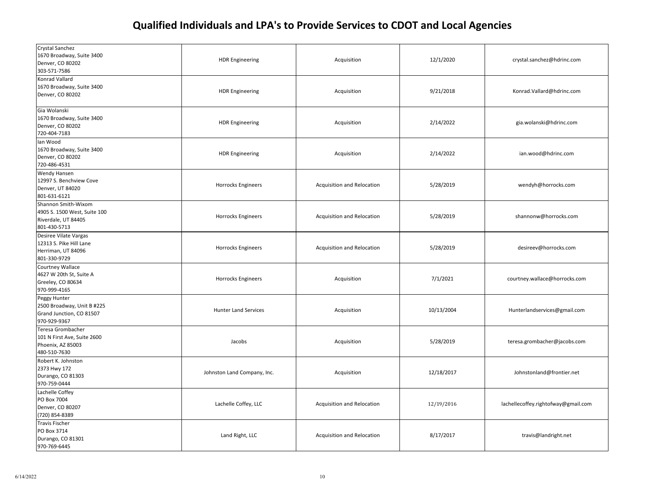| Crystal Sanchez<br>1670 Broadway, Suite 3400<br>Denver, CO 80202<br>303-571-7586           | <b>HDR Engineering</b>      | Acquisition                | 12/1/2020  | crystal.sanchez@hdrinc.com          |
|--------------------------------------------------------------------------------------------|-----------------------------|----------------------------|------------|-------------------------------------|
| Konrad Vallard<br>1670 Broadway, Suite 3400<br>Denver, CO 80202                            | <b>HDR Engineering</b>      | Acquisition                | 9/21/2018  | Konrad.Vallard@hdrinc.com           |
| Gia Wolanski<br>1670 Broadway, Suite 3400<br>Denver, CO 80202<br>720-404-7183              | <b>HDR Engineering</b>      | Acquisition                | 2/14/2022  | gia.wolanski@hdrinc.com             |
| Ian Wood<br>1670 Broadway, Suite 3400<br>Denver, CO 80202<br>720-486-4531                  | <b>HDR Engineering</b>      | Acquisition                | 2/14/2022  | ian.wood@hdrinc.com                 |
| Wendy Hansen<br>12997 S. Benchview Cove<br>Denver, UT 84020<br>801-631-6121                | <b>Horrocks Engineers</b>   | Acquisition and Relocation | 5/28/2019  | wendyh@horrocks.com                 |
| Shannon Smith-Wixom<br>4905 S. 1500 West, Suite 100<br>Riverdale, UT 84405<br>801-430-5713 | Horrocks Engineers          | Acquisition and Relocation | 5/28/2019  | shannonw@horrocks.com               |
| Desiree Vilate Vargas<br>12313 S. Pike Hill Lane<br>Herriman, UT 84096<br>801-330-9729     | Horrocks Engineers          | Acquisition and Relocation | 5/28/2019  | desireev@horrocks.com               |
| <b>Courtney Wallace</b><br>4627 W 20th St, Suite A<br>Greeley, CO 80634<br>970-999-4165    | Horrocks Engineers          | Acquisition                | 7/1/2021   | courtney.wallace@horrocks.com       |
| Peggy Hunter<br>2500 Broadway, Unit B #225<br>Grand Junction, CO 81507<br>970-929-9367     | <b>Hunter Land Services</b> | Acquisition                | 10/13/2004 | Hunterlandservices@gmail.com        |
| Teresa Grombacher<br>101 N First Ave, Suite 2600<br>Phoenix, AZ 85003<br>480-510-7630      | Jacobs                      | Acquisition                | 5/28/2019  | teresa.grombacher@jacobs.com        |
| Robert K. Johnston<br>2373 Hwy 172<br>Durango, CO 81303<br>970-759-0444                    | Johnston Land Company, Inc. | Acquisition                | 12/18/2017 | Johnstonland@frontier.net           |
| Lachelle Coffey<br>PO Box 7004<br>Denver, CO 80207<br>(720) 854-8389                       | Lachelle Coffey, LLC        | Acquisition and Relocation | 12/19/2016 | lachellecoffey.rightofway@gmail.com |
| <b>Travis Fischer</b><br>PO Box 3714<br>Durango, CO 81301<br>970-769-6445                  | Land Right, LLC             | Acquisition and Relocation | 8/17/2017  | travis@landright.net                |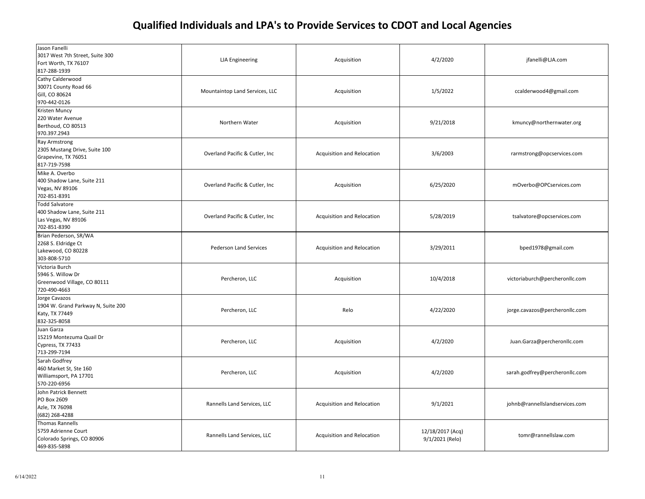| Jason Fanelli<br>3017 West 7th Street, Suite 300<br>Fort Worth, TX 76107<br>817-288-1939     | <b>LJA</b> Engineering         | Acquisition                | 4/2/2020                            | jfanelli@LJA.com               |
|----------------------------------------------------------------------------------------------|--------------------------------|----------------------------|-------------------------------------|--------------------------------|
| Cathy Calderwood<br>30071 County Road 66<br>Gill, CO 80624<br>970-442-0126                   | Mountaintop Land Services, LLC | Acquisition                | 1/5/2022                            | ccalderwood4@gmail.com         |
| Kristen Muncy<br>220 Water Avenue<br>Berthoud, CO 80513<br>970.397.2943                      | Northern Water                 | Acquisition                | 9/21/2018                           | kmuncy@northernwater.org       |
| <b>Ray Armstrong</b><br>2305 Mustang Drive, Suite 100<br>Grapevine, TX 76051<br>817-719-7598 | Overland Pacific & Cutler, Inc | Acquisition and Relocation | 3/6/2003                            | rarmstrong@opcservices.com     |
| Mike A. Overbo<br>400 Shadow Lane, Suite 211<br>Vegas, NV 89106<br>702-851-8391              | Overland Pacific & Cutler, Inc | Acquisition                | 6/25/2020                           | mOverbo@OPCservices.com        |
| <b>Todd Salvatore</b><br>400 Shadow Lane, Suite 211<br>Las Vegas, NV 89106<br>702-851-8390   | Overland Pacific & Cutler, Inc | Acquisition and Relocation | 5/28/2019                           | tsalvatore@opcservices.com     |
| Brian Pederson, SR/WA<br>2268 S. Eldridge Ct<br>Lakewood, CO 80228<br>303-808-5710           | <b>Pederson Land Services</b>  | Acquisition and Relocation | 3/29/2011                           | bped1978@gmail.com             |
| Victoria Burch<br>5946 S. Willow Dr<br>Greenwood Village, CO 80111<br>720-490-4663           | Percheron, LLC                 | Acquisition                | 10/4/2018                           | victoriaburch@percheronllc.com |
| Jorge Cavazos<br>1904 W. Grand Parkway N, Suite 200<br>Katy, TX 77449<br>832-325-8058        | Percheron, LLC                 | Relo                       | 4/22/2020                           | jorge.cavazos@percheronllc.com |
| Juan Garza<br>15219 Montezuma Quail Dr<br>Cypress, TX 77433<br>713-299-7194                  | Percheron, LLC                 | Acquisition                | 4/2/2020                            | Juan.Garza@percheronllc.com    |
| Sarah Godfrey<br>460 Market St, Ste 160<br>Williamsport, PA 17701<br>570-220-6956            | Percheron, LLC                 | Acquisition                | 4/2/2020                            | sarah.godfrey@percheronllc.com |
| John Patrick Bennett<br>PO Box 2609<br>Azle, TX 76098<br>(682) 268-4288                      | Rannells Land Services, LLC    | Acquisition and Relocation | 9/1/2021                            | johnb@rannellslandservices.com |
| <b>Thomas Rannells</b><br>5759 Adrienne Court<br>Colorado Springs, CO 80906<br>469-835-5898  | Rannells Land Services, LLC    | Acquisition and Relocation | 12/18/2017 (Acq)<br>9/1/2021 (Relo) | tomr@rannellslaw.com           |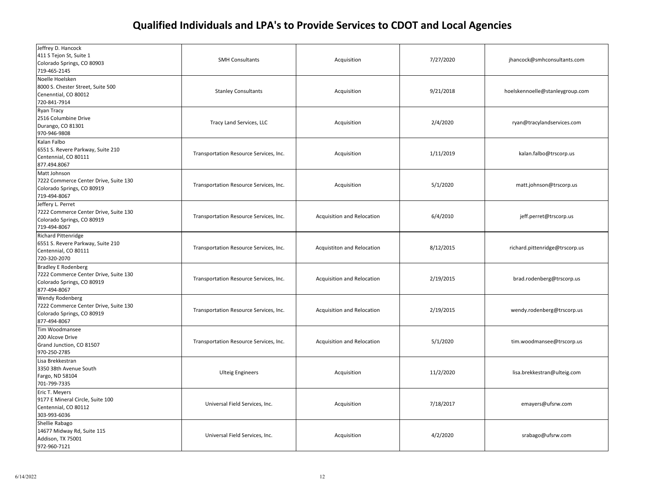| Jeffrey D. Hancock<br>411 S Tejon St, Suite 1<br>Colorado Springs, CO 80903<br>719-465-2145                       | <b>SMH Consultants</b>                 | Acquisition                | 7/27/2020 | jhancock@smhconsultants.com     |
|-------------------------------------------------------------------------------------------------------------------|----------------------------------------|----------------------------|-----------|---------------------------------|
| Noelle Hoelsken<br>8000 S. Chester Street, Suite 500<br>Cenenntial, CO 80012<br>720-841-7914                      | <b>Stanley Consultants</b>             | Acquisition                | 9/21/2018 | hoelskennoelle@stanleygroup.com |
| Ryan Tracy<br>2516 Columbine Drive<br>Durango, CO 81301<br>970-946-9808                                           | Tracy Land Services, LLC               | Acquisition                | 2/4/2020  | ryan@tracylandservices.com      |
| Kalan Falbo<br>6551 S. Revere Parkway, Suite 210<br>Centennial, CO 80111<br>877.494.8067                          | Transportation Resource Services, Inc. | Acquisition                | 1/11/2019 | kalan.falbo@trscorp.us          |
| Matt Johnson<br>7222 Commerce Center Drive, Suite 130<br>Colorado Springs, CO 80919<br>719-494-8067               | Transportation Resource Services, Inc. | Acquisition                | 5/1/2020  | matt.johnson@trscorp.us         |
| Jeffery L. Perret<br>7222 Commerce Center Drive, Suite 130<br>Colorado Springs, CO 80919<br>719-494-8067          | Transportation Resource Services, Inc. | Acquisition and Relocation | 6/4/2010  | jeff.perret@trscorp.us          |
| <b>Richard Pittenridge</b><br>6551 S. Revere Parkway, Suite 210<br>Centennial, CO 80111<br>720-320-2070           | Transportation Resource Services, Inc. | Acquistiton and Relocation | 8/12/2015 | richard.pittenridge@trscorp.us  |
| <b>Bradley E Rodenberg</b><br>7222 Commerce Center Drive, Suite 130<br>Colorado Springs, CO 80919<br>877-494-8067 | Transportation Resource Services, Inc. | Acquisition and Relocation | 2/19/2015 | brad.rodenberg@trscorp.us       |
| <b>Wendy Rodenberg</b><br>7222 Commerce Center Drive, Suite 130<br>Colorado Springs, CO 80919<br>877-494-8067     | Transportation Resource Services, Inc. | Acquisition and Relocation | 2/19/2015 | wendy.rodenberg@trscorp.us      |
| Tim Woodmansee<br>200 Alcove Drive<br>Grand Junction, CO 81507<br>970-250-2785                                    | Transportation Resource Services, Inc. | Acquisition and Relocation | 5/1/2020  | tim.woodmansee@trscorp.us       |
| Lisa Brekkestran<br>3350 38th Avenue South<br>Fargo, ND 58104<br>701-799-7335                                     | <b>Ulteig Engineers</b>                | Acquisition                | 11/2/2020 | lisa.brekkestran@ulteig.com     |
| Eric T. Meyers<br>9177 E Mineral Circle, Suite 100<br>Centennial, CO 80112<br>303-993-6036                        | Universal Field Services, Inc.         | Acquisition                | 7/18/2017 | emayers@ufsrw.com               |
| Shellie Rabago<br>14677 Midway Rd, Suite 115<br>Addison, TX 75001<br>972-960-7121                                 | Universal Field Services, Inc.         | Acquisition                | 4/2/2020  | srabago@ufsrw.com               |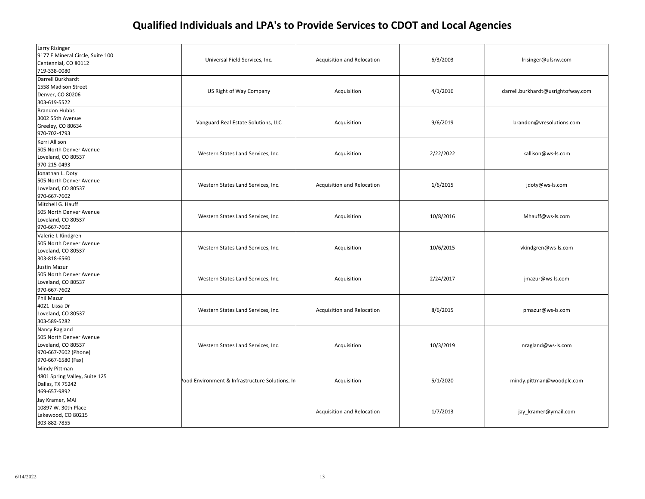| Larry Risinger<br>9177 E Mineral Circle, Suite 100<br>Centennial, CO 80112<br>719-338-0080                   | Universal Field Services, Inc.                  | Acquisition and Relocation | 6/3/2003  | Irisinger@ufsrw.com                |
|--------------------------------------------------------------------------------------------------------------|-------------------------------------------------|----------------------------|-----------|------------------------------------|
| Darrell Burkhardt<br>1558 Madison Street<br>Denver, CO 80206<br>303-619-5522                                 | US Right of Way Company                         | Acquisition                | 4/1/2016  | darrell.burkhardt@usrightofway.com |
| <b>Brandon Hubbs</b><br>3002 55th Avenue<br>Greeley, CO 80634<br>970-702-4793                                | Vanguard Real Estate Solutions, LLC             | Acquisition                | 9/6/2019  | brandon@vresolutions.com           |
| Kerri Allison<br>505 North Denver Avenue<br>Loveland, CO 80537<br>970-215-0493                               | Western States Land Services, Inc.              | Acquisition                | 2/22/2022 | kallison@ws-ls.com                 |
| Jonathan L. Doty<br>505 North Denver Avenue<br>Loveland, CO 80537<br>970-667-7602                            | Western States Land Services, Inc.              | Acquisition and Relocation | 1/6/2015  | jdoty@ws-ls.com                    |
| Mitchell G. Hauff<br>505 North Denver Avenue<br>Loveland, CO 80537<br>970-667-7602                           | Western States Land Services, Inc.              | Acquisition                | 10/8/2016 | Mhauff@ws-ls.com                   |
| Valerie I. Kindgren<br>505 North Denver Avenue<br>Loveland, CO 80537<br>303-818-6560                         | Western States Land Services, Inc.              | Acquisition                | 10/6/2015 | vkindgren@ws-ls.com                |
| Justin Mazur<br>505 North Denver Avenue<br>Loveland, CO 80537<br>970-667-7602                                | Western States Land Services, Inc.              | Acquisition                | 2/24/2017 | jmazur@ws-ls.com                   |
| Phil Mazur<br>4021 Lissa Dr<br>Loveland, CO 80537<br>303-589-5282                                            | Western States Land Services, Inc.              | Acquisition and Relocation | 8/6/2015  | pmazur@ws-ls.com                   |
| Nancy Ragland<br>505 North Denver Avenue<br>Loveland, CO 80537<br>970-667-7602 (Phone)<br>970-667-6580 (Fax) | Western States Land Services, Inc.              | Acquisition                | 10/3/2019 | nragland@ws-ls.com                 |
| Mindy Pittman<br>4801 Spring Valley, Suite 125<br>Dallas, TX 75242<br>469-657-9892                           | Vood Environment & Infrastructure Solutions, In | Acquisition                | 5/1/2020  | mindy.pittman@woodplc.com          |
| Jay Kramer, MAI<br>10897 W. 30th Place<br>Lakewood, CO 80215<br>303-882-7855                                 |                                                 | Acquisition and Relocation | 1/7/2013  | jay_kramer@ymail.com               |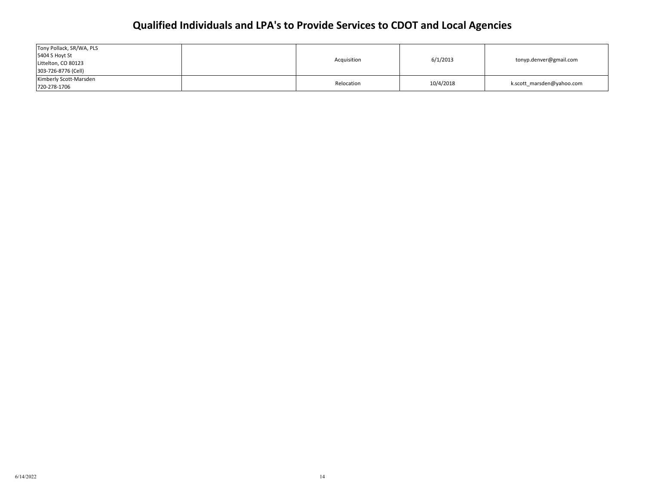| Tony Pollack, SR/WA, PLS<br>5404 S Hoyt St |             |           |                           |
|--------------------------------------------|-------------|-----------|---------------------------|
| Littelton, CO 80123                        | Acquisition | 6/1/2013  | tonyp.denver@gmail.com    |
| 303-726-8776 (Cell)                        |             |           |                           |
| Kimberly Scott-Marsden                     | Relocation  | 10/4/2018 | k.scott marsden@yahoo.com |
| 720-278-1706                               |             |           |                           |